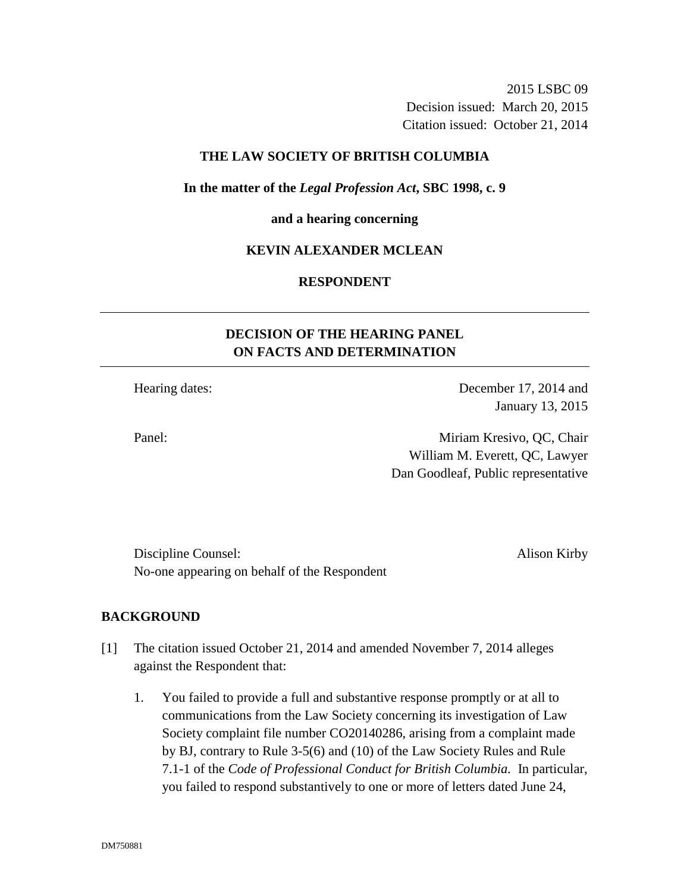2015 LSBC 09 Decision issued: March 20, 2015 Citation issued: October 21, 2014

### **THE LAW SOCIETY OF BRITISH COLUMBIA**

#### **In the matter of the** *Legal Profession Act***, SBC 1998, c. 9**

#### **and a hearing concerning**

### **KEVIN ALEXANDER MCLEAN**

## **RESPONDENT**

# **DECISION OF THE HEARING PANEL ON FACTS AND DETERMINATION**

Hearing dates: December 17, 2014 and January 13, 2015

Panel: Miriam Kresivo, QC, Chair William M. Everett, QC, Lawyer Dan Goodleaf, Public representative

Discipline Counsel: Alison Kirby No-one appearing on behalf of the Respondent

### **BACKGROUND**

- [1] The citation issued October 21, 2014 and amended November 7, 2014 alleges against the Respondent that:
	- 1. You failed to provide a full and substantive response promptly or at all to communications from the Law Society concerning its investigation of Law Society complaint file number CO20140286, arising from a complaint made by BJ, contrary to Rule 3-5(6) and (10) of the Law Society Rules and Rule 7.1-1 of the *Code of Professional Conduct for British Columbia.* In particular, you failed to respond substantively to one or more of letters dated June 24,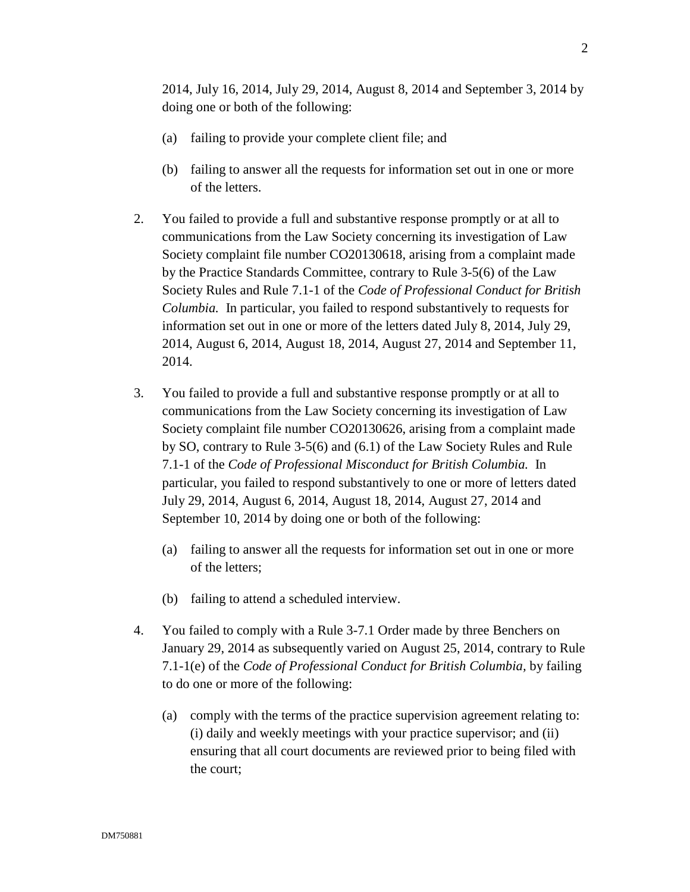2014, July 16, 2014, July 29, 2014, August 8, 2014 and September 3, 2014 by doing one or both of the following:

- (a) failing to provide your complete client file; and
- (b) failing to answer all the requests for information set out in one or more of the letters.
- 2. You failed to provide a full and substantive response promptly or at all to communications from the Law Society concerning its investigation of Law Society complaint file number CO20130618, arising from a complaint made by the Practice Standards Committee, contrary to Rule 3-5(6) of the Law Society Rules and Rule 7.1-1 of the *Code of Professional Conduct for British Columbia.* In particular, you failed to respond substantively to requests for information set out in one or more of the letters dated July 8, 2014, July 29, 2014, August 6, 2014, August 18, 2014, August 27, 2014 and September 11, 2014.
- 3. You failed to provide a full and substantive response promptly or at all to communications from the Law Society concerning its investigation of Law Society complaint file number CO20130626, arising from a complaint made by SO, contrary to Rule 3-5(6) and (6.1) of the Law Society Rules and Rule 7.1-1 of the *Code of Professional Misconduct for British Columbia.* In particular, you failed to respond substantively to one or more of letters dated July 29, 2014, August 6, 2014, August 18, 2014, August 27, 2014 and September 10, 2014 by doing one or both of the following:
	- (a) failing to answer all the requests for information set out in one or more of the letters;
	- (b) failing to attend a scheduled interview.
- 4. You failed to comply with a Rule 3-7.1 Order made by three Benchers on January 29, 2014 as subsequently varied on August 25, 2014, contrary to Rule 7.1-1(e) of the *Code of Professional Conduct for British Columbia,* by failing to do one or more of the following:
	- (a) comply with the terms of the practice supervision agreement relating to: (i) daily and weekly meetings with your practice supervisor; and (ii) ensuring that all court documents are reviewed prior to being filed with the court;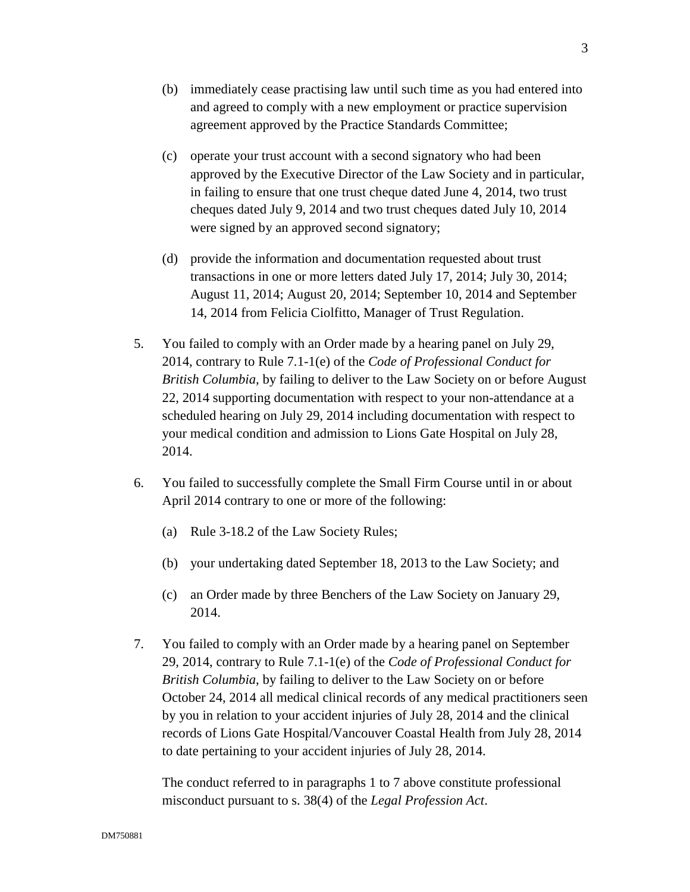- (b) immediately cease practising law until such time as you had entered into and agreed to comply with a new employment or practice supervision agreement approved by the Practice Standards Committee;
- (c) operate your trust account with a second signatory who had been approved by the Executive Director of the Law Society and in particular, in failing to ensure that one trust cheque dated June 4, 2014, two trust cheques dated July 9, 2014 and two trust cheques dated July 10, 2014 were signed by an approved second signatory;
- (d) provide the information and documentation requested about trust transactions in one or more letters dated July 17, 2014; July 30, 2014; August 11, 2014; August 20, 2014; September 10, 2014 and September 14, 2014 from Felicia Ciolfitto, Manager of Trust Regulation.
- 5. You failed to comply with an Order made by a hearing panel on July 29, 2014, contrary to Rule 7.1-1(e) of the *Code of Professional Conduct for British Columbia,* by failing to deliver to the Law Society on or before August 22, 2014 supporting documentation with respect to your non-attendance at a scheduled hearing on July 29, 2014 including documentation with respect to your medical condition and admission to Lions Gate Hospital on July 28, 2014.
- 6. You failed to successfully complete the Small Firm Course until in or about April 2014 contrary to one or more of the following:
	- (a) Rule 3-18.2 of the Law Society Rules;
	- (b) your undertaking dated September 18, 2013 to the Law Society; and
	- (c) an Order made by three Benchers of the Law Society on January 29, 2014.
- 7. You failed to comply with an Order made by a hearing panel on September 29, 2014, contrary to Rule 7.1-1(e) of the *Code of Professional Conduct for British Columbia*, by failing to deliver to the Law Society on or before October 24, 2014 all medical clinical records of any medical practitioners seen by you in relation to your accident injuries of July 28, 2014 and the clinical records of Lions Gate Hospital/Vancouver Coastal Health from July 28, 2014 to date pertaining to your accident injuries of July 28, 2014.

The conduct referred to in paragraphs 1 to 7 above constitute professional misconduct pursuant to s. 38(4) of the *Legal Profession Act*.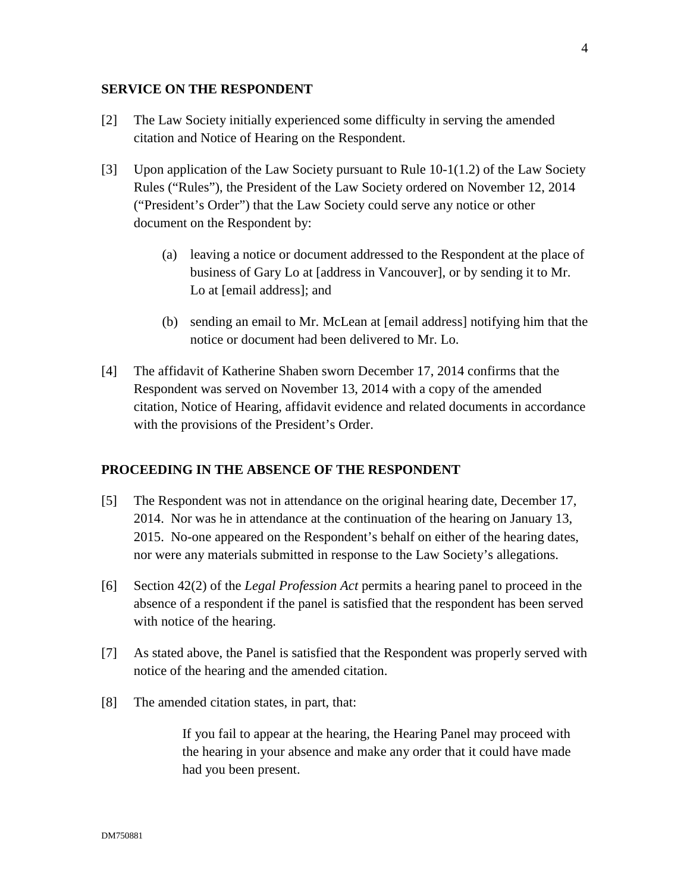### **SERVICE ON THE RESPONDENT**

- [2] The Law Society initially experienced some difficulty in serving the amended citation and Notice of Hearing on the Respondent.
- [3] Upon application of the Law Society pursuant to Rule 10-1(1.2) of the Law Society Rules ("Rules"), the President of the Law Society ordered on November 12, 2014 ("President's Order") that the Law Society could serve any notice or other document on the Respondent by:
	- (a) leaving a notice or document addressed to the Respondent at the place of business of Gary Lo at [address in Vancouver], or by sending it to Mr. Lo at [email address]; and
	- (b) sending an email to Mr. McLean at [email address] notifying him that the notice or document had been delivered to Mr. Lo.
- [4] The affidavit of Katherine Shaben sworn December 17, 2014 confirms that the Respondent was served on November 13, 2014 with a copy of the amended citation, Notice of Hearing, affidavit evidence and related documents in accordance with the provisions of the President's Order.

#### **PROCEEDING IN THE ABSENCE OF THE RESPONDENT**

- [5] The Respondent was not in attendance on the original hearing date, December 17, 2014. Nor was he in attendance at the continuation of the hearing on January 13, 2015. No-one appeared on the Respondent's behalf on either of the hearing dates, nor were any materials submitted in response to the Law Society's allegations.
- [6] Section 42(2) of the *Legal Profession Act* permits a hearing panel to proceed in the absence of a respondent if the panel is satisfied that the respondent has been served with notice of the hearing.
- [7] As stated above, the Panel is satisfied that the Respondent was properly served with notice of the hearing and the amended citation.
- [8] The amended citation states, in part, that:

If you fail to appear at the hearing, the Hearing Panel may proceed with the hearing in your absence and make any order that it could have made had you been present.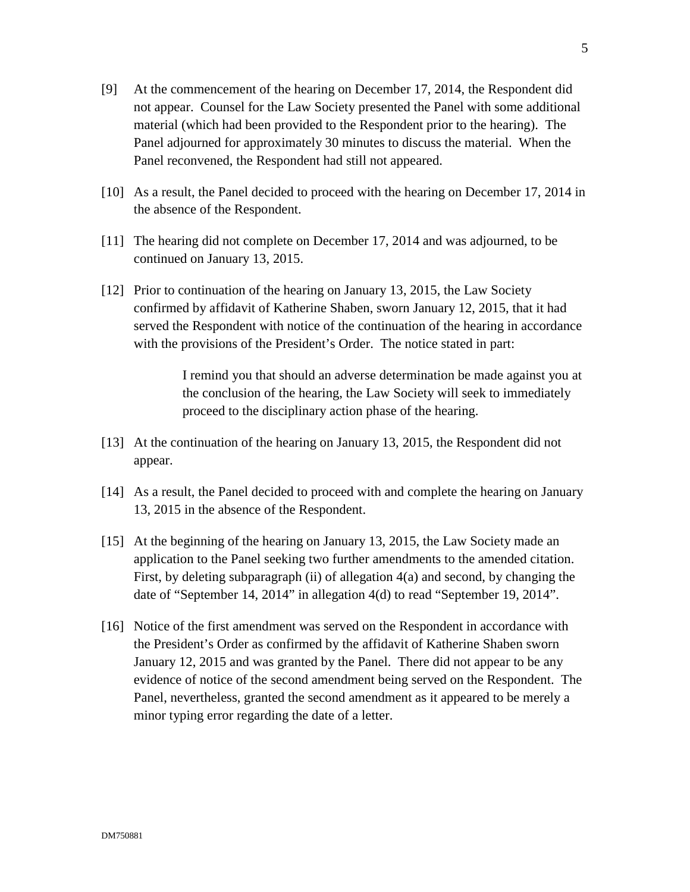- [9] At the commencement of the hearing on December 17, 2014, the Respondent did not appear. Counsel for the Law Society presented the Panel with some additional material (which had been provided to the Respondent prior to the hearing). The Panel adjourned for approximately 30 minutes to discuss the material. When the Panel reconvened, the Respondent had still not appeared.
- [10] As a result, the Panel decided to proceed with the hearing on December 17, 2014 in the absence of the Respondent.
- [11] The hearing did not complete on December 17, 2014 and was adjourned, to be continued on January 13, 2015.
- [12] Prior to continuation of the hearing on January 13, 2015, the Law Society confirmed by affidavit of Katherine Shaben, sworn January 12, 2015, that it had served the Respondent with notice of the continuation of the hearing in accordance with the provisions of the President's Order. The notice stated in part:

I remind you that should an adverse determination be made against you at the conclusion of the hearing, the Law Society will seek to immediately proceed to the disciplinary action phase of the hearing.

- [13] At the continuation of the hearing on January 13, 2015, the Respondent did not appear.
- [14] As a result, the Panel decided to proceed with and complete the hearing on January 13, 2015 in the absence of the Respondent.
- [15] At the beginning of the hearing on January 13, 2015, the Law Society made an application to the Panel seeking two further amendments to the amended citation. First, by deleting subparagraph (ii) of allegation 4(a) and second, by changing the date of "September 14, 2014" in allegation 4(d) to read "September 19, 2014".
- [16] Notice of the first amendment was served on the Respondent in accordance with the President's Order as confirmed by the affidavit of Katherine Shaben sworn January 12, 2015 and was granted by the Panel. There did not appear to be any evidence of notice of the second amendment being served on the Respondent. The Panel, nevertheless, granted the second amendment as it appeared to be merely a minor typing error regarding the date of a letter.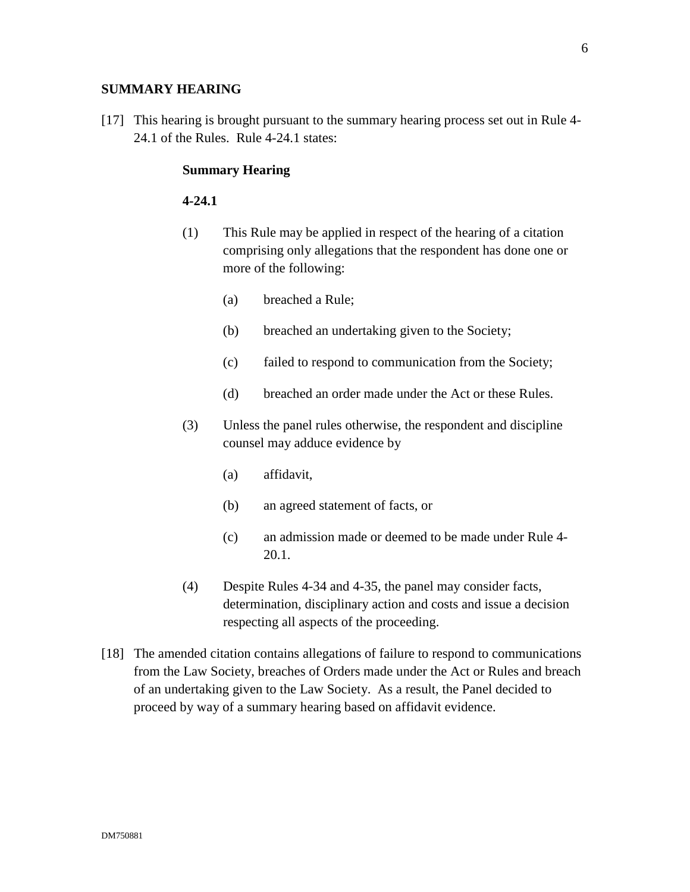### **SUMMARY HEARING**

[17] This hearing is brought pursuant to the summary hearing process set out in Rule 4- 24.1 of the Rules. Rule 4-24.1 states:

#### **Summary Hearing**

### **4-24.1**

- (1) This Rule may be applied in respect of the hearing of a citation comprising only allegations that the respondent has done one or more of the following:
	- (a) breached a Rule;
	- (b) breached an undertaking given to the Society;
	- (c) failed to respond to communication from the Society;
	- (d) breached an order made under the Act or these Rules.
- (3) Unless the panel rules otherwise, the respondent and discipline counsel may adduce evidence by
	- (a) affidavit,
	- (b) an agreed statement of facts, or
	- (c) an admission made or deemed to be made under Rule 4- 20.1.
- (4) Despite Rules 4-34 and 4-35, the panel may consider facts, determination, disciplinary action and costs and issue a decision respecting all aspects of the proceeding.
- [18] The amended citation contains allegations of failure to respond to communications from the Law Society, breaches of Orders made under the Act or Rules and breach of an undertaking given to the Law Society. As a result, the Panel decided to proceed by way of a summary hearing based on affidavit evidence.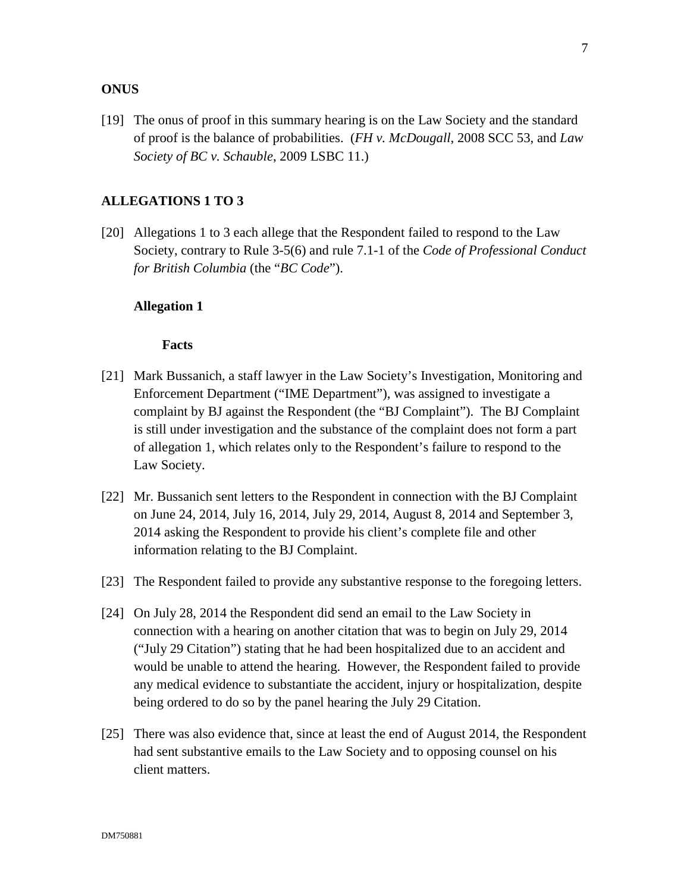### **ONUS**

[19] The onus of proof in this summary hearing is on the Law Society and the standard of proof is the balance of probabilities. (*FH v. McDougall*, 2008 SCC 53, and *Law Society of BC v. Schauble*, 2009 LSBC 11.)

#### **ALLEGATIONS 1 TO 3**

[20] Allegations 1 to 3 each allege that the Respondent failed to respond to the Law Society, contrary to Rule 3-5(6) and rule 7.1-1 of the *Code of Professional Conduct for British Columbia* (the "*BC Code*").

#### **Allegation 1**

- [21] Mark Bussanich, a staff lawyer in the Law Society's Investigation, Monitoring and Enforcement Department ("IME Department"), was assigned to investigate a complaint by BJ against the Respondent (the "BJ Complaint"). The BJ Complaint is still under investigation and the substance of the complaint does not form a part of allegation 1, which relates only to the Respondent's failure to respond to the Law Society.
- [22] Mr. Bussanich sent letters to the Respondent in connection with the BJ Complaint on June 24, 2014, July 16, 2014, July 29, 2014, August 8, 2014 and September 3, 2014 asking the Respondent to provide his client's complete file and other information relating to the BJ Complaint.
- [23] The Respondent failed to provide any substantive response to the foregoing letters.
- [24] On July 28, 2014 the Respondent did send an email to the Law Society in connection with a hearing on another citation that was to begin on July 29, 2014 ("July 29 Citation") stating that he had been hospitalized due to an accident and would be unable to attend the hearing. However, the Respondent failed to provide any medical evidence to substantiate the accident, injury or hospitalization, despite being ordered to do so by the panel hearing the July 29 Citation.
- [25] There was also evidence that, since at least the end of August 2014, the Respondent had sent substantive emails to the Law Society and to opposing counsel on his client matters.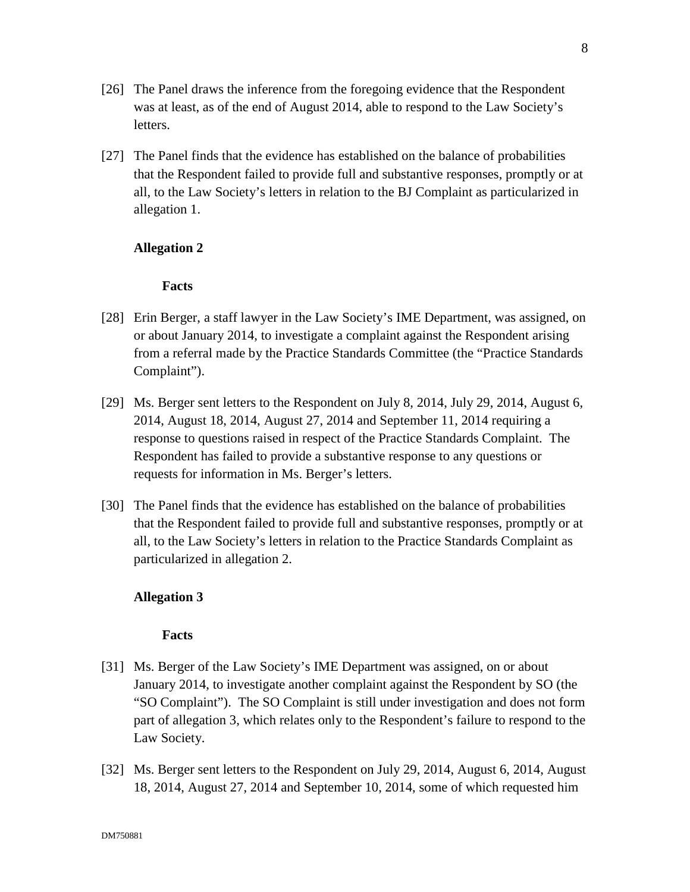- [26] The Panel draws the inference from the foregoing evidence that the Respondent was at least, as of the end of August 2014, able to respond to the Law Society's letters.
- [27] The Panel finds that the evidence has established on the balance of probabilities that the Respondent failed to provide full and substantive responses, promptly or at all, to the Law Society's letters in relation to the BJ Complaint as particularized in allegation 1.

## **Allegation 2**

### **Facts**

- [28] Erin Berger, a staff lawyer in the Law Society's IME Department, was assigned, on or about January 2014, to investigate a complaint against the Respondent arising from a referral made by the Practice Standards Committee (the "Practice Standards Complaint").
- [29] Ms. Berger sent letters to the Respondent on July 8, 2014, July 29, 2014, August 6, 2014, August 18, 2014, August 27, 2014 and September 11, 2014 requiring a response to questions raised in respect of the Practice Standards Complaint. The Respondent has failed to provide a substantive response to any questions or requests for information in Ms. Berger's letters.
- [30] The Panel finds that the evidence has established on the balance of probabilities that the Respondent failed to provide full and substantive responses, promptly or at all, to the Law Society's letters in relation to the Practice Standards Complaint as particularized in allegation 2.

## **Allegation 3**

- [31] Ms. Berger of the Law Society's IME Department was assigned, on or about January 2014, to investigate another complaint against the Respondent by SO (the "SO Complaint"). The SO Complaint is still under investigation and does not form part of allegation 3, which relates only to the Respondent's failure to respond to the Law Society.
- [32] Ms. Berger sent letters to the Respondent on July 29, 2014, August 6, 2014, August 18, 2014, August 27, 2014 and September 10, 2014, some of which requested him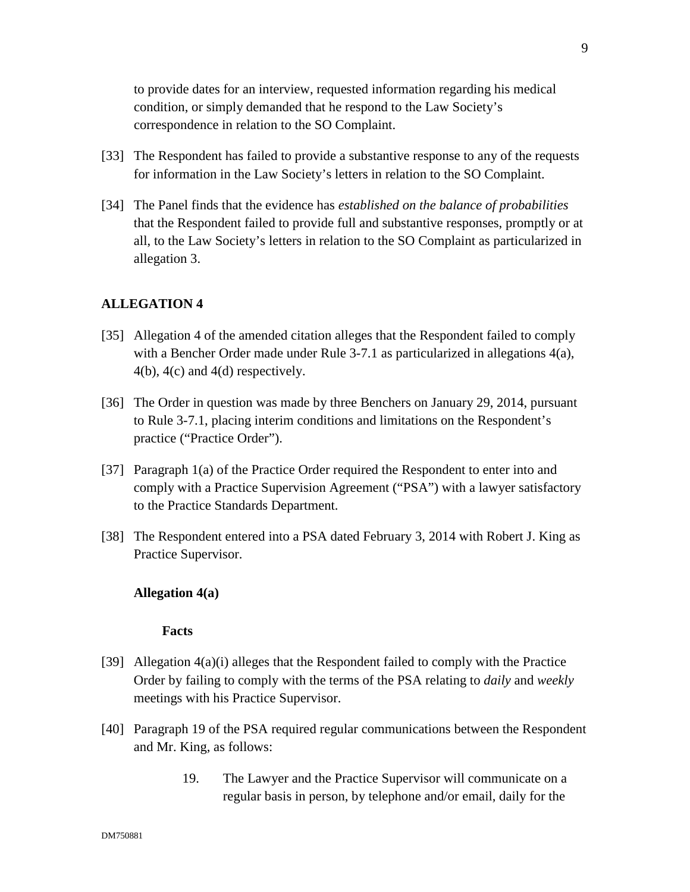to provide dates for an interview, requested information regarding his medical condition, or simply demanded that he respond to the Law Society's correspondence in relation to the SO Complaint.

- [33] The Respondent has failed to provide a substantive response to any of the requests for information in the Law Society's letters in relation to the SO Complaint.
- [34] The Panel finds that the evidence has *established on the balance of probabilities*  that the Respondent failed to provide full and substantive responses, promptly or at all, to the Law Society's letters in relation to the SO Complaint as particularized in allegation 3.

### **ALLEGATION 4**

- [35] Allegation 4 of the amended citation alleges that the Respondent failed to comply with a Bencher Order made under Rule 3-7.1 as particularized in allegations 4(a), 4(b), 4(c) and 4(d) respectively.
- [36] The Order in question was made by three Benchers on January 29, 2014, pursuant to Rule 3-7.1, placing interim conditions and limitations on the Respondent's practice ("Practice Order").
- [37] Paragraph 1(a) of the Practice Order required the Respondent to enter into and comply with a Practice Supervision Agreement ("PSA") with a lawyer satisfactory to the Practice Standards Department.
- [38] The Respondent entered into a PSA dated February 3, 2014 with Robert J. King as Practice Supervisor.

#### **Allegation 4(a)**

- [39] Allegation 4(a)(i) alleges that the Respondent failed to comply with the Practice Order by failing to comply with the terms of the PSA relating to *daily* and *weekly* meetings with his Practice Supervisor.
- [40] Paragraph 19 of the PSA required regular communications between the Respondent and Mr. King, as follows:
	- 19. The Lawyer and the Practice Supervisor will communicate on a regular basis in person, by telephone and/or email, daily for the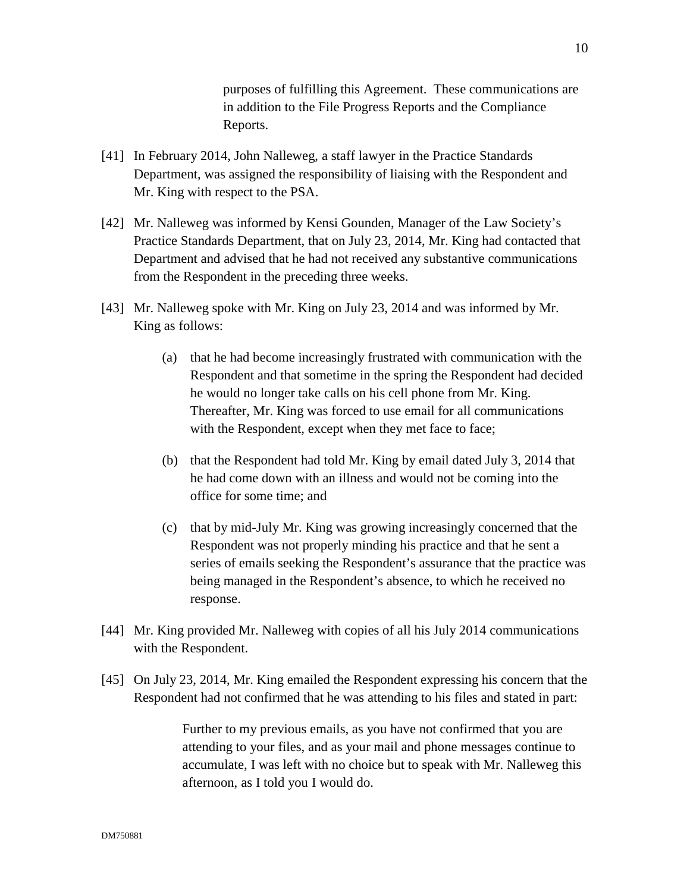purposes of fulfilling this Agreement. These communications are in addition to the File Progress Reports and the Compliance Reports.

- [41] In February 2014, John Nalleweg, a staff lawyer in the Practice Standards Department, was assigned the responsibility of liaising with the Respondent and Mr. King with respect to the PSA.
- [42] Mr. Nalleweg was informed by Kensi Gounden, Manager of the Law Society's Practice Standards Department, that on July 23, 2014, Mr. King had contacted that Department and advised that he had not received any substantive communications from the Respondent in the preceding three weeks.
- [43] Mr. Nalleweg spoke with Mr. King on July 23, 2014 and was informed by Mr. King as follows:
	- (a) that he had become increasingly frustrated with communication with the Respondent and that sometime in the spring the Respondent had decided he would no longer take calls on his cell phone from Mr. King. Thereafter, Mr. King was forced to use email for all communications with the Respondent, except when they met face to face;
	- (b) that the Respondent had told Mr. King by email dated July 3, 2014 that he had come down with an illness and would not be coming into the office for some time; and
	- (c) that by mid-July Mr. King was growing increasingly concerned that the Respondent was not properly minding his practice and that he sent a series of emails seeking the Respondent's assurance that the practice was being managed in the Respondent's absence, to which he received no response.
- [44] Mr. King provided Mr. Nalleweg with copies of all his July 2014 communications with the Respondent.
- [45] On July 23, 2014, Mr. King emailed the Respondent expressing his concern that the Respondent had not confirmed that he was attending to his files and stated in part:

Further to my previous emails, as you have not confirmed that you are attending to your files, and as your mail and phone messages continue to accumulate, I was left with no choice but to speak with Mr. Nalleweg this afternoon, as I told you I would do.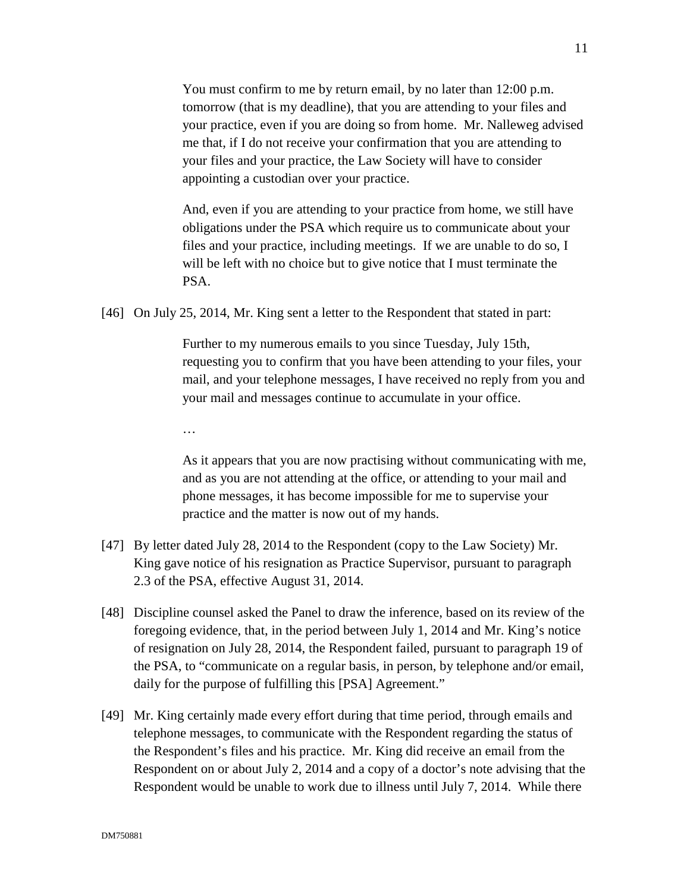You must confirm to me by return email, by no later than 12:00 p.m. tomorrow (that is my deadline), that you are attending to your files and your practice, even if you are doing so from home. Mr. Nalleweg advised me that, if I do not receive your confirmation that you are attending to your files and your practice, the Law Society will have to consider appointing a custodian over your practice.

And, even if you are attending to your practice from home, we still have obligations under the PSA which require us to communicate about your files and your practice, including meetings. If we are unable to do so, I will be left with no choice but to give notice that I must terminate the PSA.

[46] On July 25, 2014, Mr. King sent a letter to the Respondent that stated in part:

Further to my numerous emails to you since Tuesday, July 15th, requesting you to confirm that you have been attending to your files, your mail, and your telephone messages, I have received no reply from you and your mail and messages continue to accumulate in your office.

…

As it appears that you are now practising without communicating with me, and as you are not attending at the office, or attending to your mail and phone messages, it has become impossible for me to supervise your practice and the matter is now out of my hands.

- [47] By letter dated July 28, 2014 to the Respondent (copy to the Law Society) Mr. King gave notice of his resignation as Practice Supervisor, pursuant to paragraph 2.3 of the PSA, effective August 31, 2014.
- [48] Discipline counsel asked the Panel to draw the inference, based on its review of the foregoing evidence, that, in the period between July 1, 2014 and Mr. King's notice of resignation on July 28, 2014, the Respondent failed, pursuant to paragraph 19 of the PSA, to "communicate on a regular basis, in person, by telephone and/or email, daily for the purpose of fulfilling this [PSA] Agreement."
- [49] Mr. King certainly made every effort during that time period, through emails and telephone messages, to communicate with the Respondent regarding the status of the Respondent's files and his practice. Mr. King did receive an email from the Respondent on or about July 2, 2014 and a copy of a doctor's note advising that the Respondent would be unable to work due to illness until July 7, 2014. While there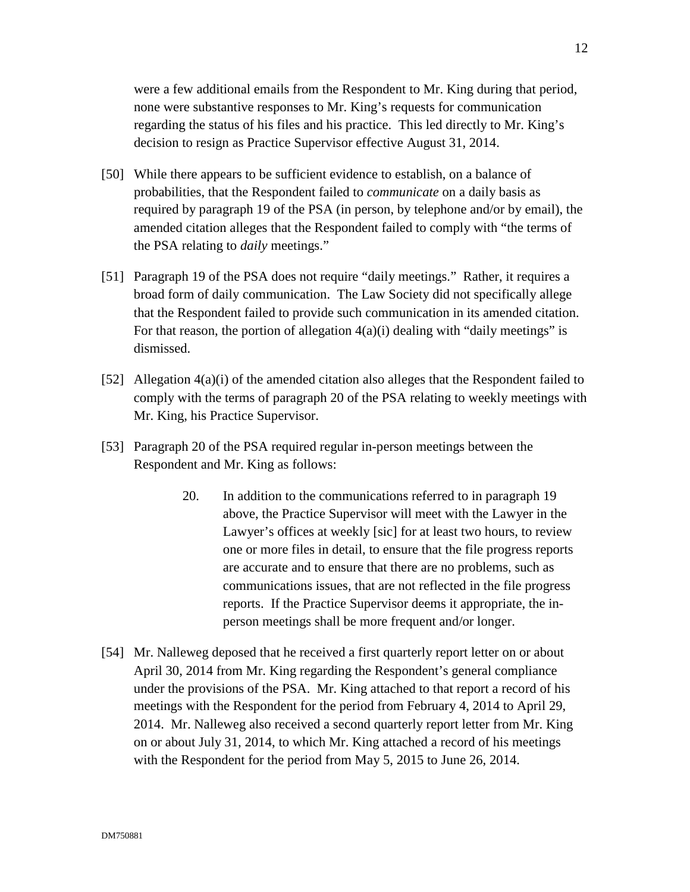were a few additional emails from the Respondent to Mr. King during that period, none were substantive responses to Mr. King's requests for communication regarding the status of his files and his practice. This led directly to Mr. King's decision to resign as Practice Supervisor effective August 31, 2014.

- [50] While there appears to be sufficient evidence to establish, on a balance of probabilities, that the Respondent failed to *communicate* on a daily basis as required by paragraph 19 of the PSA (in person, by telephone and/or by email), the amended citation alleges that the Respondent failed to comply with "the terms of the PSA relating to *daily* meetings."
- [51] Paragraph 19 of the PSA does not require "daily meetings." Rather, it requires a broad form of daily communication. The Law Society did not specifically allege that the Respondent failed to provide such communication in its amended citation. For that reason, the portion of allegation  $4(a)(i)$  dealing with "daily meetings" is dismissed.
- [52] Allegation 4(a)(i) of the amended citation also alleges that the Respondent failed to comply with the terms of paragraph 20 of the PSA relating to weekly meetings with Mr. King, his Practice Supervisor.
- [53] Paragraph 20 of the PSA required regular in-person meetings between the Respondent and Mr. King as follows:
	- 20. In addition to the communications referred to in paragraph 19 above, the Practice Supervisor will meet with the Lawyer in the Lawyer's offices at weekly [sic] for at least two hours, to review one or more files in detail, to ensure that the file progress reports are accurate and to ensure that there are no problems, such as communications issues, that are not reflected in the file progress reports. If the Practice Supervisor deems it appropriate, the inperson meetings shall be more frequent and/or longer.
- [54] Mr. Nalleweg deposed that he received a first quarterly report letter on or about April 30, 2014 from Mr. King regarding the Respondent's general compliance under the provisions of the PSA. Mr. King attached to that report a record of his meetings with the Respondent for the period from February 4, 2014 to April 29, 2014. Mr. Nalleweg also received a second quarterly report letter from Mr. King on or about July 31, 2014, to which Mr. King attached a record of his meetings with the Respondent for the period from May 5, 2015 to June 26, 2014.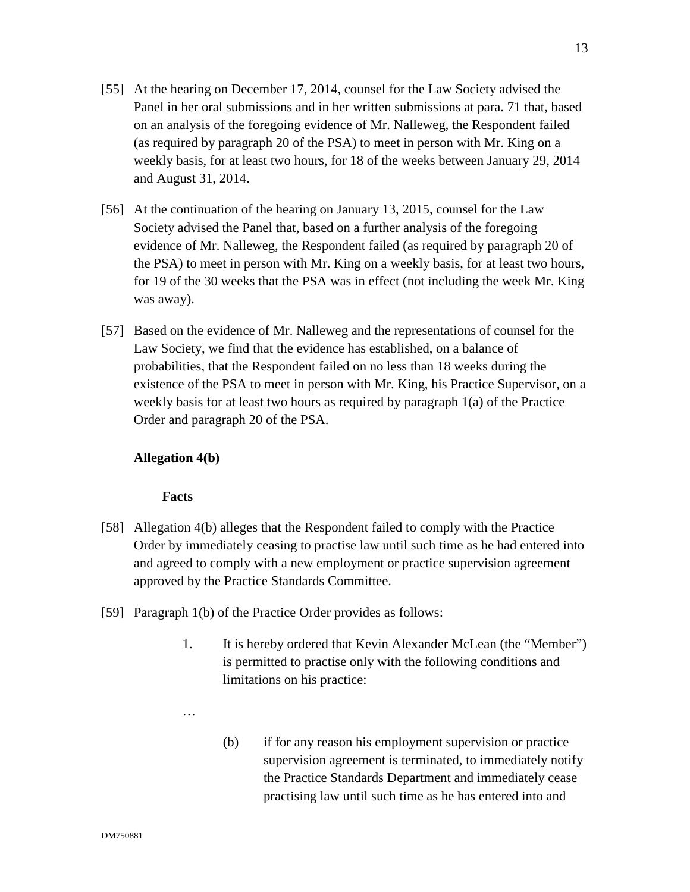- [55] At the hearing on December 17, 2014, counsel for the Law Society advised the Panel in her oral submissions and in her written submissions at para. 71 that, based on an analysis of the foregoing evidence of Mr. Nalleweg, the Respondent failed (as required by paragraph 20 of the PSA) to meet in person with Mr. King on a weekly basis, for at least two hours, for 18 of the weeks between January 29, 2014 and August 31, 2014.
- [56] At the continuation of the hearing on January 13, 2015, counsel for the Law Society advised the Panel that, based on a further analysis of the foregoing evidence of Mr. Nalleweg, the Respondent failed (as required by paragraph 20 of the PSA) to meet in person with Mr. King on a weekly basis, for at least two hours, for 19 of the 30 weeks that the PSA was in effect (not including the week Mr. King was away).
- [57] Based on the evidence of Mr. Nalleweg and the representations of counsel for the Law Society, we find that the evidence has established, on a balance of probabilities, that the Respondent failed on no less than 18 weeks during the existence of the PSA to meet in person with Mr. King, his Practice Supervisor, on a weekly basis for at least two hours as required by paragraph 1(a) of the Practice Order and paragraph 20 of the PSA.

## **Allegation 4(b)**

- [58] Allegation 4(b) alleges that the Respondent failed to comply with the Practice Order by immediately ceasing to practise law until such time as he had entered into and agreed to comply with a new employment or practice supervision agreement approved by the Practice Standards Committee.
- [59] Paragraph 1(b) of the Practice Order provides as follows:
	- 1. It is hereby ordered that Kevin Alexander McLean (the "Member") is permitted to practise only with the following conditions and limitations on his practice:
	- …
- (b) if for any reason his employment supervision or practice supervision agreement is terminated, to immediately notify the Practice Standards Department and immediately cease practising law until such time as he has entered into and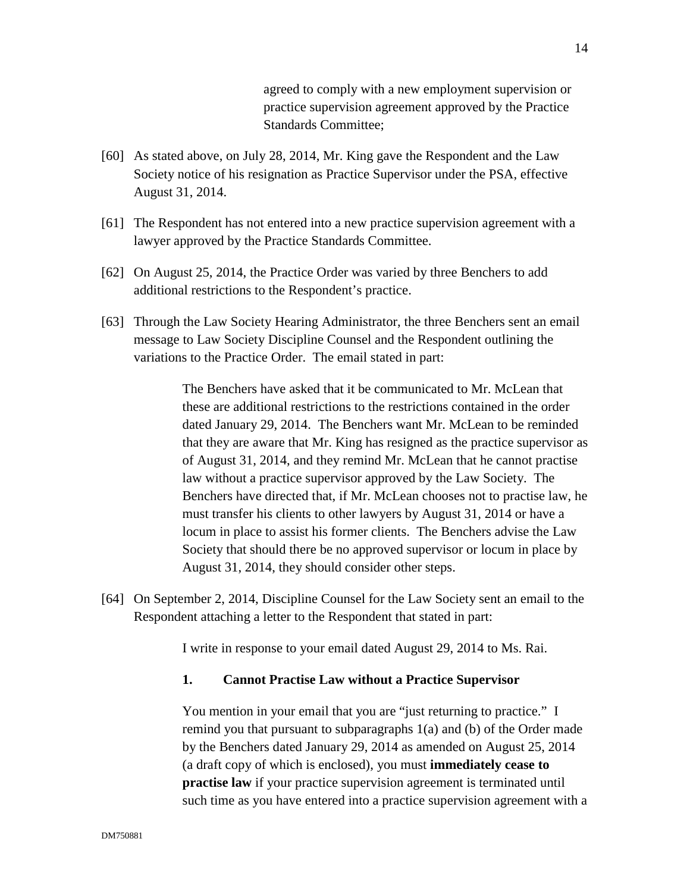agreed to comply with a new employment supervision or practice supervision agreement approved by the Practice Standards Committee;

- [60] As stated above, on July 28, 2014, Mr. King gave the Respondent and the Law Society notice of his resignation as Practice Supervisor under the PSA, effective August 31, 2014.
- [61] The Respondent has not entered into a new practice supervision agreement with a lawyer approved by the Practice Standards Committee.
- [62] On August 25, 2014, the Practice Order was varied by three Benchers to add additional restrictions to the Respondent's practice.
- [63] Through the Law Society Hearing Administrator, the three Benchers sent an email message to Law Society Discipline Counsel and the Respondent outlining the variations to the Practice Order. The email stated in part:

The Benchers have asked that it be communicated to Mr. McLean that these are additional restrictions to the restrictions contained in the order dated January 29, 2014. The Benchers want Mr. McLean to be reminded that they are aware that Mr. King has resigned as the practice supervisor as of August 31, 2014, and they remind Mr. McLean that he cannot practise law without a practice supervisor approved by the Law Society. The Benchers have directed that, if Mr. McLean chooses not to practise law, he must transfer his clients to other lawyers by August 31, 2014 or have a locum in place to assist his former clients. The Benchers advise the Law Society that should there be no approved supervisor or locum in place by August 31, 2014, they should consider other steps.

[64] On September 2, 2014, Discipline Counsel for the Law Society sent an email to the Respondent attaching a letter to the Respondent that stated in part:

I write in response to your email dated August 29, 2014 to Ms. Rai.

#### **1. Cannot Practise Law without a Practice Supervisor**

You mention in your email that you are "just returning to practice." I remind you that pursuant to subparagraphs 1(a) and (b) of the Order made by the Benchers dated January 29, 2014 as amended on August 25, 2014 (a draft copy of which is enclosed), you must **immediately cease to practise law** if your practice supervision agreement is terminated until such time as you have entered into a practice supervision agreement with a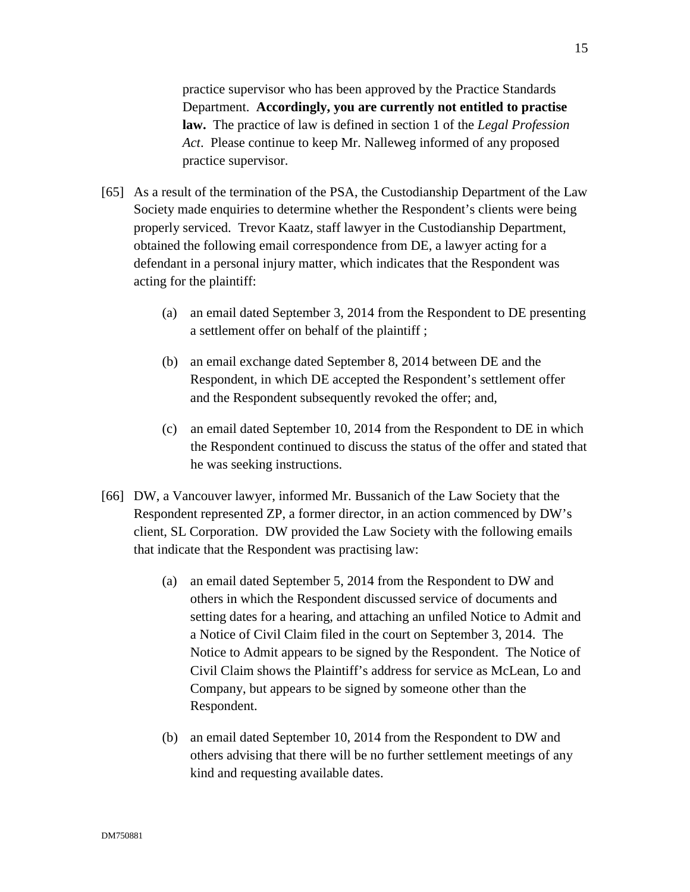practice supervisor who has been approved by the Practice Standards Department. **Accordingly, you are currently not entitled to practise law.** The practice of law is defined in section 1 of the *Legal Profession Act*. Please continue to keep Mr. Nalleweg informed of any proposed practice supervisor.

- [65] As a result of the termination of the PSA, the Custodianship Department of the Law Society made enquiries to determine whether the Respondent's clients were being properly serviced. Trevor Kaatz, staff lawyer in the Custodianship Department, obtained the following email correspondence from DE, a lawyer acting for a defendant in a personal injury matter, which indicates that the Respondent was acting for the plaintiff:
	- (a) an email dated September 3, 2014 from the Respondent to DE presenting a settlement offer on behalf of the plaintiff ;
	- (b) an email exchange dated September 8, 2014 between DE and the Respondent, in which DE accepted the Respondent's settlement offer and the Respondent subsequently revoked the offer; and,
	- (c) an email dated September 10, 2014 from the Respondent to DE in which the Respondent continued to discuss the status of the offer and stated that he was seeking instructions.
- [66] DW, a Vancouver lawyer, informed Mr. Bussanich of the Law Society that the Respondent represented ZP, a former director, in an action commenced by DW's client, SL Corporation. DW provided the Law Society with the following emails that indicate that the Respondent was practising law:
	- (a) an email dated September 5, 2014 from the Respondent to DW and others in which the Respondent discussed service of documents and setting dates for a hearing, and attaching an unfiled Notice to Admit and a Notice of Civil Claim filed in the court on September 3, 2014. The Notice to Admit appears to be signed by the Respondent. The Notice of Civil Claim shows the Plaintiff's address for service as McLean, Lo and Company, but appears to be signed by someone other than the Respondent.
	- (b) an email dated September 10, 2014 from the Respondent to DW and others advising that there will be no further settlement meetings of any kind and requesting available dates.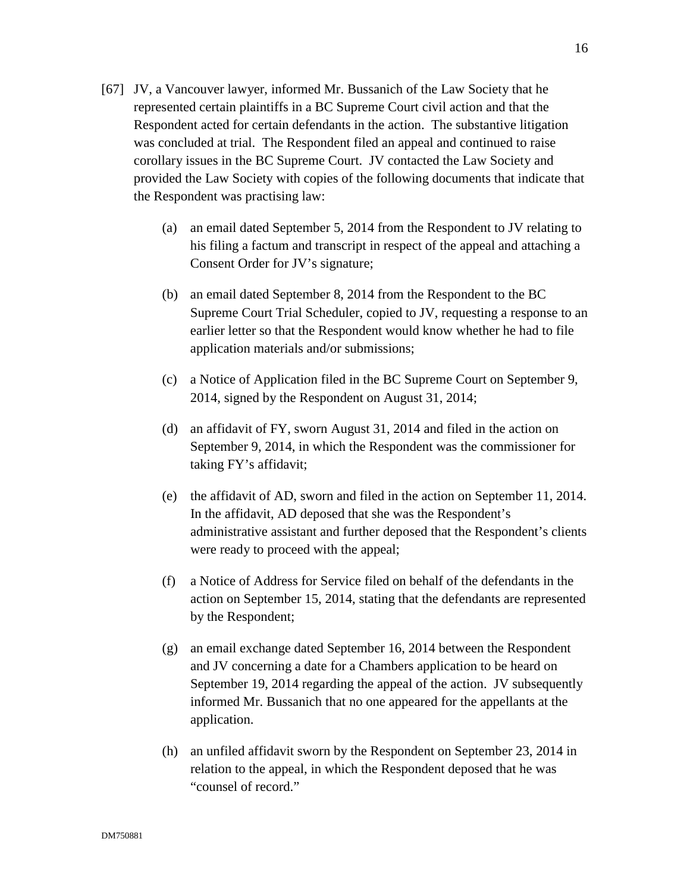- [67] JV, a Vancouver lawyer, informed Mr. Bussanich of the Law Society that he represented certain plaintiffs in a BC Supreme Court civil action and that the Respondent acted for certain defendants in the action. The substantive litigation was concluded at trial. The Respondent filed an appeal and continued to raise corollary issues in the BC Supreme Court. JV contacted the Law Society and provided the Law Society with copies of the following documents that indicate that the Respondent was practising law:
	- (a) an email dated September 5, 2014 from the Respondent to JV relating to his filing a factum and transcript in respect of the appeal and attaching a Consent Order for JV's signature;
	- (b) an email dated September 8, 2014 from the Respondent to the BC Supreme Court Trial Scheduler, copied to JV, requesting a response to an earlier letter so that the Respondent would know whether he had to file application materials and/or submissions;
	- (c) a Notice of Application filed in the BC Supreme Court on September 9, 2014, signed by the Respondent on August 31, 2014;
	- (d) an affidavit of FY, sworn August 31, 2014 and filed in the action on September 9, 2014, in which the Respondent was the commissioner for taking FY's affidavit;
	- (e) the affidavit of AD, sworn and filed in the action on September 11, 2014. In the affidavit, AD deposed that she was the Respondent's administrative assistant and further deposed that the Respondent's clients were ready to proceed with the appeal;
	- (f) a Notice of Address for Service filed on behalf of the defendants in the action on September 15, 2014, stating that the defendants are represented by the Respondent;
	- (g) an email exchange dated September 16, 2014 between the Respondent and JV concerning a date for a Chambers application to be heard on September 19, 2014 regarding the appeal of the action. JV subsequently informed Mr. Bussanich that no one appeared for the appellants at the application.
	- (h) an unfiled affidavit sworn by the Respondent on September 23, 2014 in relation to the appeal, in which the Respondent deposed that he was "counsel of record."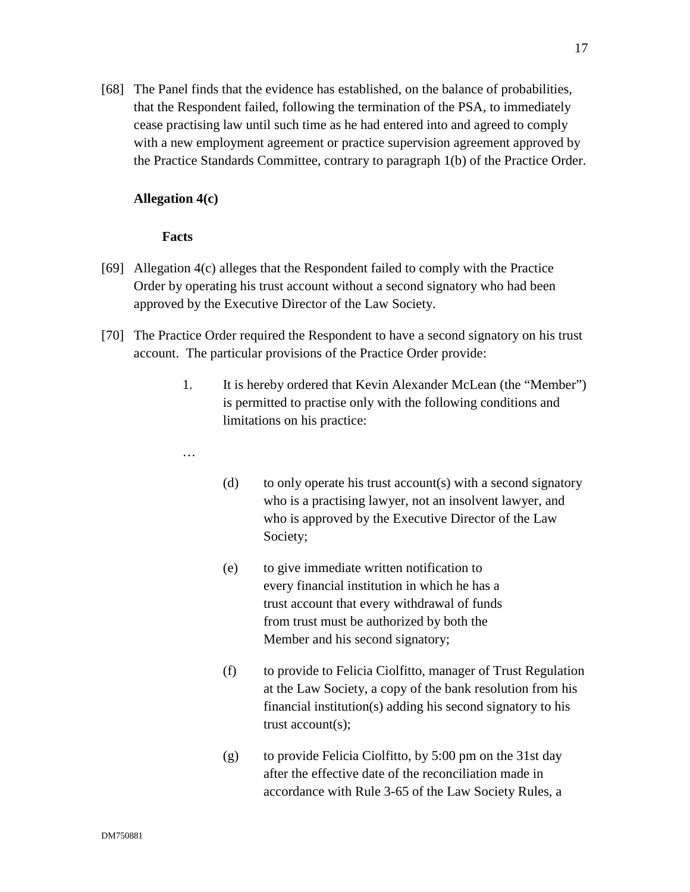[68] The Panel finds that the evidence has established, on the balance of probabilities, that the Respondent failed, following the termination of the PSA, to immediately cease practising law until such time as he had entered into and agreed to comply with a new employment agreement or practice supervision agreement approved by the Practice Standards Committee, contrary to paragraph 1(b) of the Practice Order.

### **Allegation 4(c)**

- [69] Allegation 4(c) alleges that the Respondent failed to comply with the Practice Order by operating his trust account without a second signatory who had been approved by the Executive Director of the Law Society.
- [70] The Practice Order required the Respondent to have a second signatory on his trust account. The particular provisions of the Practice Order provide:
	- 1. It is hereby ordered that Kevin Alexander McLean (the "Member") is permitted to practise only with the following conditions and limitations on his practice:
	- …
- (d) to only operate his trust account(s) with a second signatory who is a practising lawyer, not an insolvent lawyer, and who is approved by the Executive Director of the Law Society;
- (e) to give immediate written notification to every financial institution in which he has a trust account that every withdrawal of funds from trust must be authorized by both the Member and his second signatory;
- (f) to provide to Felicia Ciolfitto, manager of Trust Regulation at the Law Society, a copy of the bank resolution from his financial institution(s) adding his second signatory to his trust account(s);
- (g) to provide Felicia Ciolfitto, by 5:00 pm on the 31st day after the effective date of the reconciliation made in accordance with Rule 3-65 of the Law Society Rules, a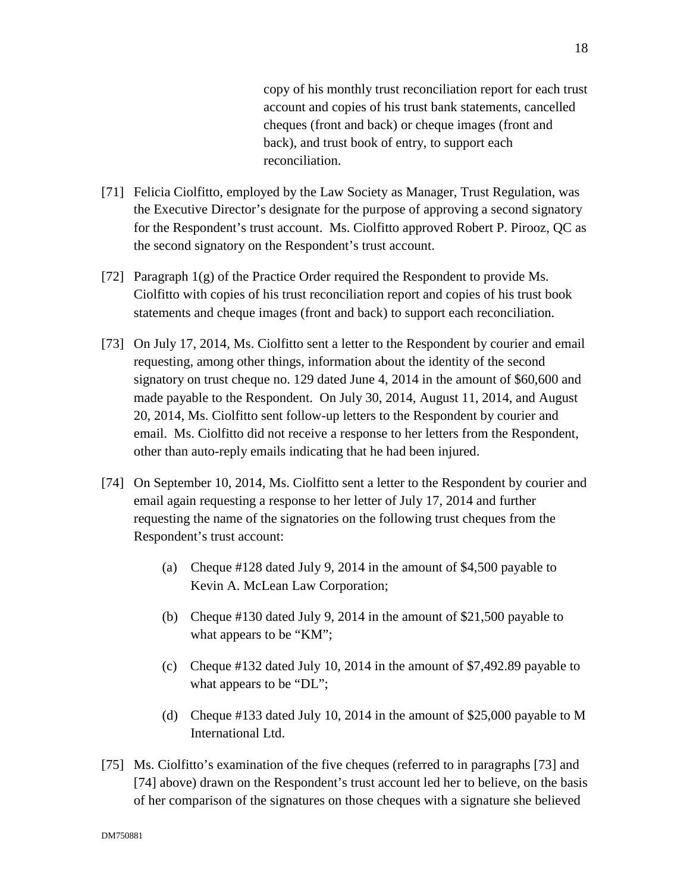copy of his monthly trust reconciliation report for each trust account and copies of his trust bank statements, cancelled cheques (front and back) or cheque images (front and back), and trust book of entry, to support each reconciliation.

- [71] Felicia Ciolfitto, employed by the Law Society as Manager, Trust Regulation, was the Executive Director's designate for the purpose of approving a second signatory for the Respondent's trust account. Ms. Ciolfitto approved Robert P. Pirooz, QC as the second signatory on the Respondent's trust account.
- [72] Paragraph 1(g) of the Practice Order required the Respondent to provide Ms. Ciolfitto with copies of his trust reconciliation report and copies of his trust book statements and cheque images (front and back) to support each reconciliation.
- [73] On July 17, 2014, Ms. Ciolfitto sent a letter to the Respondent by courier and email requesting, among other things, information about the identity of the second signatory on trust cheque no. 129 dated June 4, 2014 in the amount of \$60,600 and made payable to the Respondent. On July 30, 2014, August 11, 2014, and August 20, 2014, Ms. Ciolfitto sent follow-up letters to the Respondent by courier and email. Ms. Ciolfitto did not receive a response to her letters from the Respondent, other than auto-reply emails indicating that he had been injured.
- [74] On September 10, 2014, Ms. Ciolfitto sent a letter to the Respondent by courier and email again requesting a response to her letter of July 17, 2014 and further requesting the name of the signatories on the following trust cheques from the Respondent's trust account:
	- (a) Cheque #128 dated July 9, 2014 in the amount of \$4,500 payable to Kevin A. McLean Law Corporation;
	- (b) Cheque #130 dated July 9, 2014 in the amount of \$21,500 payable to what appears to be "KM";
	- (c) Cheque #132 dated July 10, 2014 in the amount of \$7,492.89 payable to what appears to be "DL";
	- (d) Cheque #133 dated July 10, 2014 in the amount of \$25,000 payable to M International Ltd.
- [75] Ms. Ciolfitto's examination of the five cheques (referred to in paragraphs [73] and [74] above) drawn on the Respondent's trust account led her to believe, on the basis of her comparison of the signatures on those cheques with a signature she believed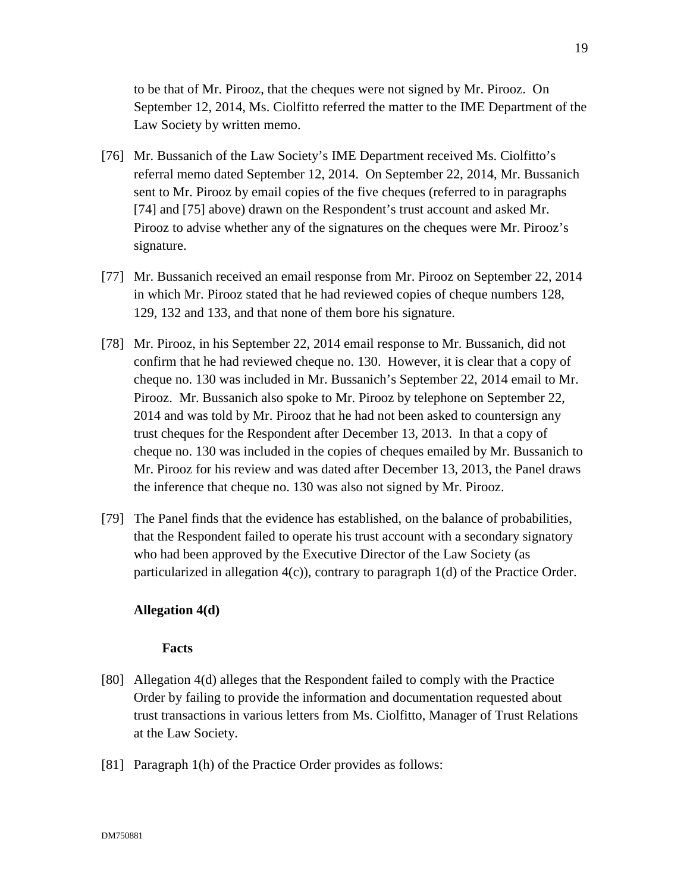to be that of Mr. Pirooz, that the cheques were not signed by Mr. Pirooz. On September 12, 2014, Ms. Ciolfitto referred the matter to the IME Department of the Law Society by written memo.

- [76] Mr. Bussanich of the Law Society's IME Department received Ms. Ciolfitto's referral memo dated September 12, 2014. On September 22, 2014, Mr. Bussanich sent to Mr. Pirooz by email copies of the five cheques (referred to in paragraphs [74] and [75] above) drawn on the Respondent's trust account and asked Mr. Pirooz to advise whether any of the signatures on the cheques were Mr. Pirooz's signature.
- [77] Mr. Bussanich received an email response from Mr. Pirooz on September 22, 2014 in which Mr. Pirooz stated that he had reviewed copies of cheque numbers 128, 129, 132 and 133, and that none of them bore his signature.
- [78] Mr. Pirooz, in his September 22, 2014 email response to Mr. Bussanich, did not confirm that he had reviewed cheque no. 130. However, it is clear that a copy of cheque no. 130 was included in Mr. Bussanich's September 22, 2014 email to Mr. Pirooz. Mr. Bussanich also spoke to Mr. Pirooz by telephone on September 22, 2014 and was told by Mr. Pirooz that he had not been asked to countersign any trust cheques for the Respondent after December 13, 2013. In that a copy of cheque no. 130 was included in the copies of cheques emailed by Mr. Bussanich to Mr. Pirooz for his review and was dated after December 13, 2013, the Panel draws the inference that cheque no. 130 was also not signed by Mr. Pirooz.
- [79] The Panel finds that the evidence has established, on the balance of probabilities, that the Respondent failed to operate his trust account with a secondary signatory who had been approved by the Executive Director of the Law Society (as particularized in allegation 4(c)), contrary to paragraph 1(d) of the Practice Order.

## **Allegation 4(d)**

- [80] Allegation 4(d) alleges that the Respondent failed to comply with the Practice Order by failing to provide the information and documentation requested about trust transactions in various letters from Ms. Ciolfitto, Manager of Trust Relations at the Law Society.
- [81] Paragraph 1(h) of the Practice Order provides as follows: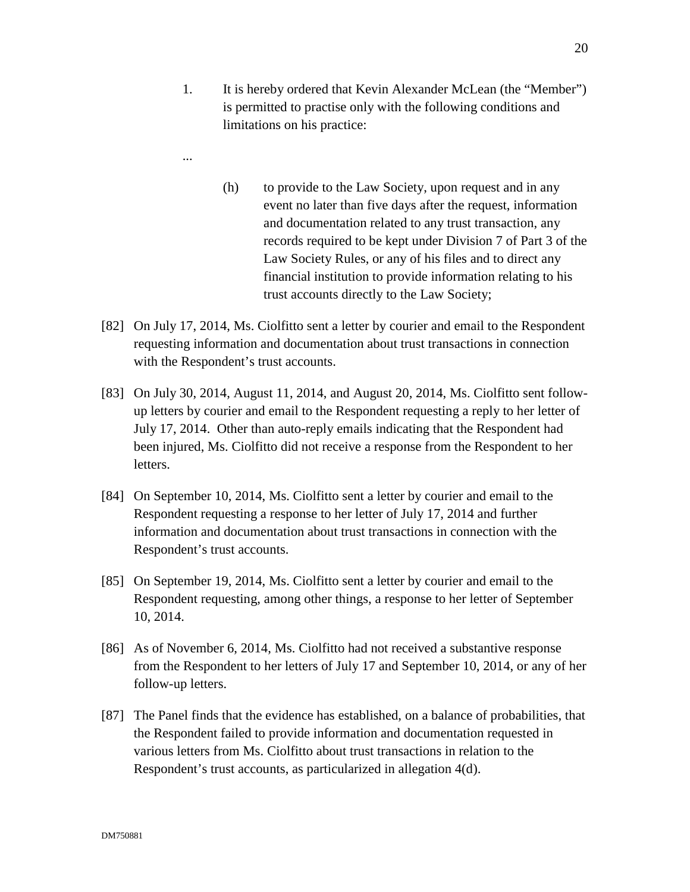- ...
- (h) to provide to the Law Society, upon request and in any event no later than five days after the request, information and documentation related to any trust transaction, any records required to be kept under Division 7 of Part 3 of the Law Society Rules, or any of his files and to direct any financial institution to provide information relating to his trust accounts directly to the Law Society;
- [82] On July 17, 2014, Ms. Ciolfitto sent a letter by courier and email to the Respondent requesting information and documentation about trust transactions in connection with the Respondent's trust accounts.
- [83] On July 30, 2014, August 11, 2014, and August 20, 2014, Ms. Ciolfitto sent followup letters by courier and email to the Respondent requesting a reply to her letter of July 17, 2014. Other than auto-reply emails indicating that the Respondent had been injured, Ms. Ciolfitto did not receive a response from the Respondent to her letters.
- [84] On September 10, 2014, Ms. Ciolfitto sent a letter by courier and email to the Respondent requesting a response to her letter of July 17, 2014 and further information and documentation about trust transactions in connection with the Respondent's trust accounts.
- [85] On September 19, 2014, Ms. Ciolfitto sent a letter by courier and email to the Respondent requesting, among other things, a response to her letter of September 10, 2014.
- [86] As of November 6, 2014, Ms. Ciolfitto had not received a substantive response from the Respondent to her letters of July 17 and September 10, 2014, or any of her follow-up letters.
- [87] The Panel finds that the evidence has established, on a balance of probabilities, that the Respondent failed to provide information and documentation requested in various letters from Ms. Ciolfitto about trust transactions in relation to the Respondent's trust accounts, as particularized in allegation 4(d).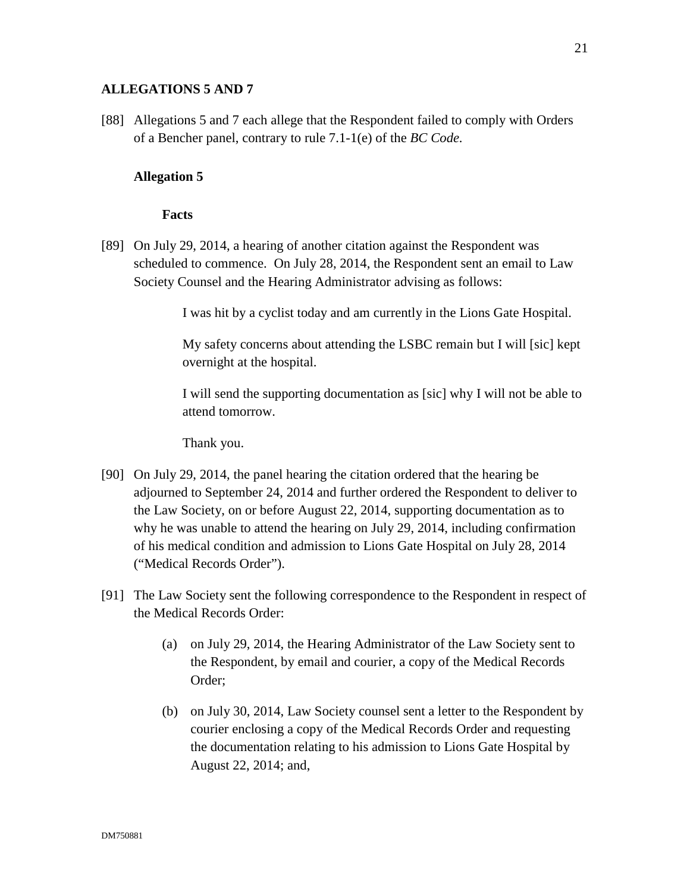## **ALLEGATIONS 5 AND 7**

[88] Allegations 5 and 7 each allege that the Respondent failed to comply with Orders of a Bencher panel, contrary to rule 7.1-1(e) of the *BC Code.*

## **Allegation 5**

### **Facts**

[89] On July 29, 2014, a hearing of another citation against the Respondent was scheduled to commence. On July 28, 2014, the Respondent sent an email to Law Society Counsel and the Hearing Administrator advising as follows:

I was hit by a cyclist today and am currently in the Lions Gate Hospital.

My safety concerns about attending the LSBC remain but I will [sic] kept overnight at the hospital.

I will send the supporting documentation as [sic] why I will not be able to attend tomorrow.

Thank you.

- [90] On July 29, 2014, the panel hearing the citation ordered that the hearing be adjourned to September 24, 2014 and further ordered the Respondent to deliver to the Law Society, on or before August 22, 2014, supporting documentation as to why he was unable to attend the hearing on July 29, 2014, including confirmation of his medical condition and admission to Lions Gate Hospital on July 28, 2014 ("Medical Records Order").
- [91] The Law Society sent the following correspondence to the Respondent in respect of the Medical Records Order:
	- (a) on July 29, 2014, the Hearing Administrator of the Law Society sent to the Respondent, by email and courier, a copy of the Medical Records Order;
	- (b) on July 30, 2014, Law Society counsel sent a letter to the Respondent by courier enclosing a copy of the Medical Records Order and requesting the documentation relating to his admission to Lions Gate Hospital by August 22, 2014; and,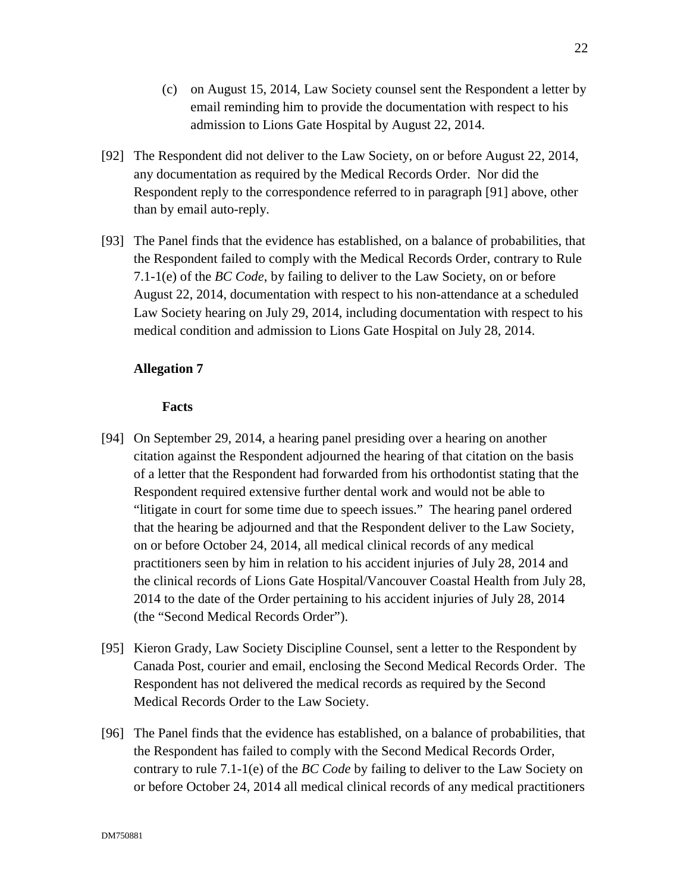- (c) on August 15, 2014, Law Society counsel sent the Respondent a letter by email reminding him to provide the documentation with respect to his admission to Lions Gate Hospital by August 22, 2014.
- [92] The Respondent did not deliver to the Law Society, on or before August 22, 2014, any documentation as required by the Medical Records Order. Nor did the Respondent reply to the correspondence referred to in paragraph [91] above, other than by email auto-reply.
- [93] The Panel finds that the evidence has established, on a balance of probabilities, that the Respondent failed to comply with the Medical Records Order, contrary to Rule 7.1-1(e) of the *BC Code*, by failing to deliver to the Law Society, on or before August 22, 2014, documentation with respect to his non-attendance at a scheduled Law Society hearing on July 29, 2014, including documentation with respect to his medical condition and admission to Lions Gate Hospital on July 28, 2014.

### **Allegation 7**

- [94] On September 29, 2014, a hearing panel presiding over a hearing on another citation against the Respondent adjourned the hearing of that citation on the basis of a letter that the Respondent had forwarded from his orthodontist stating that the Respondent required extensive further dental work and would not be able to "litigate in court for some time due to speech issues." The hearing panel ordered that the hearing be adjourned and that the Respondent deliver to the Law Society, on or before October 24, 2014, all medical clinical records of any medical practitioners seen by him in relation to his accident injuries of July 28, 2014 and the clinical records of Lions Gate Hospital/Vancouver Coastal Health from July 28, 2014 to the date of the Order pertaining to his accident injuries of July 28, 2014 (the "Second Medical Records Order").
- [95] Kieron Grady, Law Society Discipline Counsel, sent a letter to the Respondent by Canada Post, courier and email, enclosing the Second Medical Records Order. The Respondent has not delivered the medical records as required by the Second Medical Records Order to the Law Society.
- [96] The Panel finds that the evidence has established, on a balance of probabilities, that the Respondent has failed to comply with the Second Medical Records Order, contrary to rule 7.1-1(e) of the *BC Code* by failing to deliver to the Law Society on or before October 24, 2014 all medical clinical records of any medical practitioners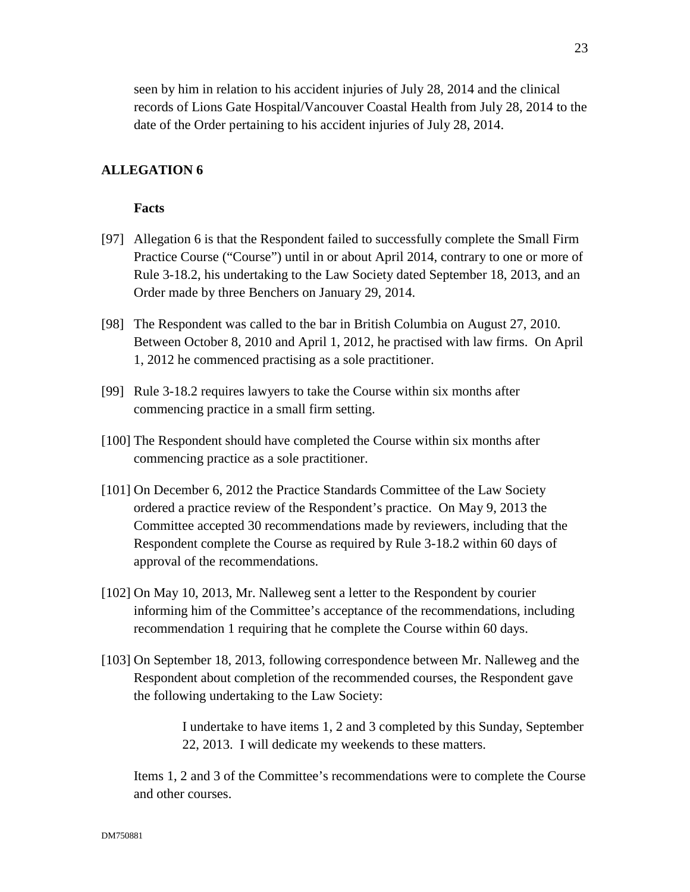seen by him in relation to his accident injuries of July 28, 2014 and the clinical records of Lions Gate Hospital/Vancouver Coastal Health from July 28, 2014 to the date of the Order pertaining to his accident injuries of July 28, 2014.

## **ALLEGATION 6**

#### **Facts**

- [97] Allegation 6 is that the Respondent failed to successfully complete the Small Firm Practice Course ("Course") until in or about April 2014, contrary to one or more of Rule 3-18.2, his undertaking to the Law Society dated September 18, 2013, and an Order made by three Benchers on January 29, 2014.
- [98] The Respondent was called to the bar in British Columbia on August 27, 2010. Between October 8, 2010 and April 1, 2012, he practised with law firms. On April 1, 2012 he commenced practising as a sole practitioner.
- [99] Rule 3-18.2 requires lawyers to take the Course within six months after commencing practice in a small firm setting.
- [100] The Respondent should have completed the Course within six months after commencing practice as a sole practitioner.
- [101] On December 6, 2012 the Practice Standards Committee of the Law Society ordered a practice review of the Respondent's practice. On May 9, 2013 the Committee accepted 30 recommendations made by reviewers, including that the Respondent complete the Course as required by Rule 3-18.2 within 60 days of approval of the recommendations.
- [102] On May 10, 2013, Mr. Nalleweg sent a letter to the Respondent by courier informing him of the Committee's acceptance of the recommendations, including recommendation 1 requiring that he complete the Course within 60 days.
- [103] On September 18, 2013, following correspondence between Mr. Nalleweg and the Respondent about completion of the recommended courses, the Respondent gave the following undertaking to the Law Society:

I undertake to have items 1, 2 and 3 completed by this Sunday, September 22, 2013. I will dedicate my weekends to these matters.

Items 1, 2 and 3 of the Committee's recommendations were to complete the Course and other courses.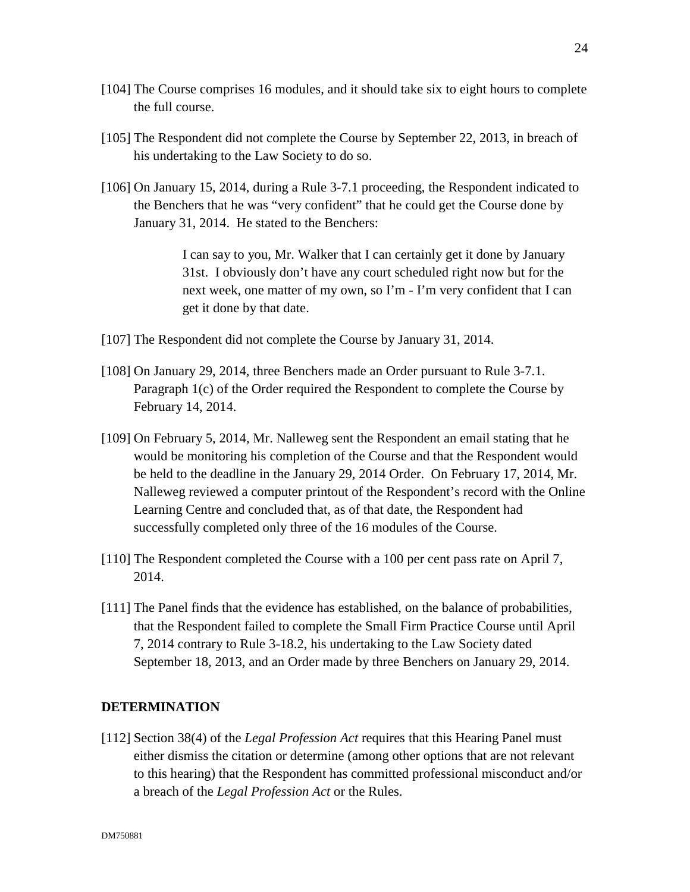- [104] The Course comprises 16 modules, and it should take six to eight hours to complete the full course.
- [105] The Respondent did not complete the Course by September 22, 2013, in breach of his undertaking to the Law Society to do so.
- [106] On January 15, 2014, during a Rule 3-7.1 proceeding, the Respondent indicated to the Benchers that he was "very confident" that he could get the Course done by January 31, 2014. He stated to the Benchers:

I can say to you, Mr. Walker that I can certainly get it done by January 31st. I obviously don't have any court scheduled right now but for the next week, one matter of my own, so I'm - I'm very confident that I can get it done by that date.

- [107] The Respondent did not complete the Course by January 31, 2014.
- [108] On January 29, 2014, three Benchers made an Order pursuant to Rule 3-7.1. Paragraph 1(c) of the Order required the Respondent to complete the Course by February 14, 2014.
- [109] On February 5, 2014, Mr. Nalleweg sent the Respondent an email stating that he would be monitoring his completion of the Course and that the Respondent would be held to the deadline in the January 29, 2014 Order. On February 17, 2014, Mr. Nalleweg reviewed a computer printout of the Respondent's record with the Online Learning Centre and concluded that, as of that date, the Respondent had successfully completed only three of the 16 modules of the Course.
- [110] The Respondent completed the Course with a 100 per cent pass rate on April 7, 2014.
- [111] The Panel finds that the evidence has established, on the balance of probabilities, that the Respondent failed to complete the Small Firm Practice Course until April 7, 2014 contrary to Rule 3-18.2, his undertaking to the Law Society dated September 18, 2013, and an Order made by three Benchers on January 29, 2014.

### **DETERMINATION**

[112] Section 38(4) of the *Legal Profession Act* requires that this Hearing Panel must either dismiss the citation or determine (among other options that are not relevant to this hearing) that the Respondent has committed professional misconduct and/or a breach of the *Legal Profession Act* or the Rules.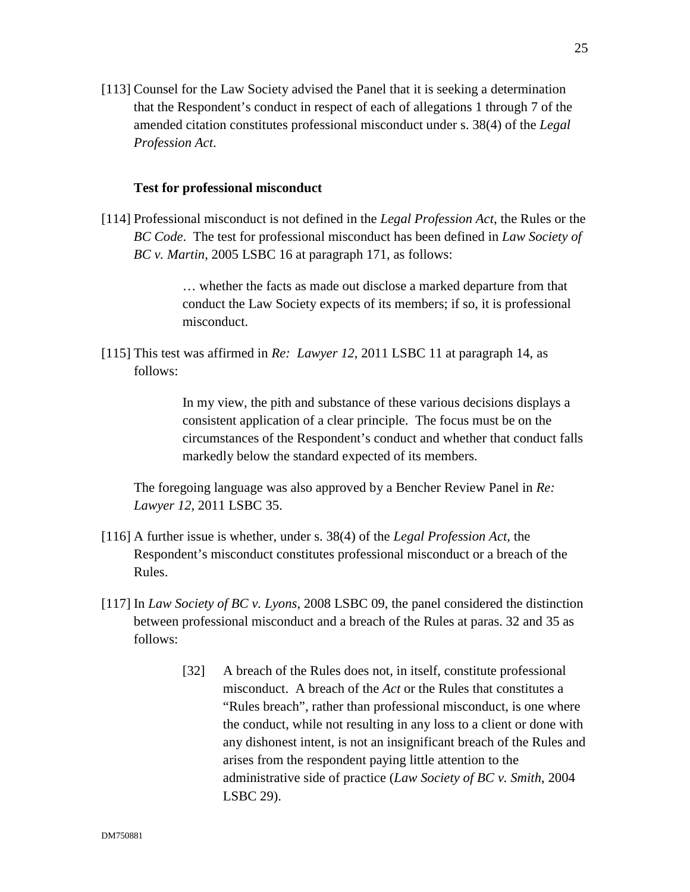[113] Counsel for the Law Society advised the Panel that it is seeking a determination that the Respondent's conduct in respect of each of allegations 1 through 7 of the amended citation constitutes professional misconduct under s. 38(4) of the *Legal Profession Act*.

#### **Test for professional misconduct**

[114] Professional misconduct is not defined in the *Legal Profession Act*, the Rules or the *BC Code*. The test for professional misconduct has been defined in *Law Society of BC v. Martin*, 2005 LSBC 16 at paragraph 171, as follows:

> … whether the facts as made out disclose a marked departure from that conduct the Law Society expects of its members; if so, it is professional misconduct.

[115] This test was affirmed in *Re: Lawyer 12*, 2011 LSBC 11 at paragraph 14, as follows:

> In my view, the pith and substance of these various decisions displays a consistent application of a clear principle. The focus must be on the circumstances of the Respondent's conduct and whether that conduct falls markedly below the standard expected of its members.

The foregoing language was also approved by a Bencher Review Panel in *Re: Lawyer 12,* 2011 LSBC 35.

- [116] A further issue is whether, under s. 38(4) of the *Legal Profession Act*, the Respondent's misconduct constitutes professional misconduct or a breach of the Rules.
- [117] In *Law Society of BC v. Lyons*, 2008 LSBC 09, the panel considered the distinction between professional misconduct and a breach of the Rules at paras. 32 and 35 as follows:
	- [32] A breach of the Rules does not, in itself, constitute professional misconduct. A breach of the *Act* or the Rules that constitutes a "Rules breach", rather than professional misconduct, is one where the conduct, while not resulting in any loss to a client or done with any dishonest intent, is not an insignificant breach of the Rules and arises from the respondent paying little attention to the administrative side of practice (*Law Society of BC v. Smith*, 2004 LSBC 29).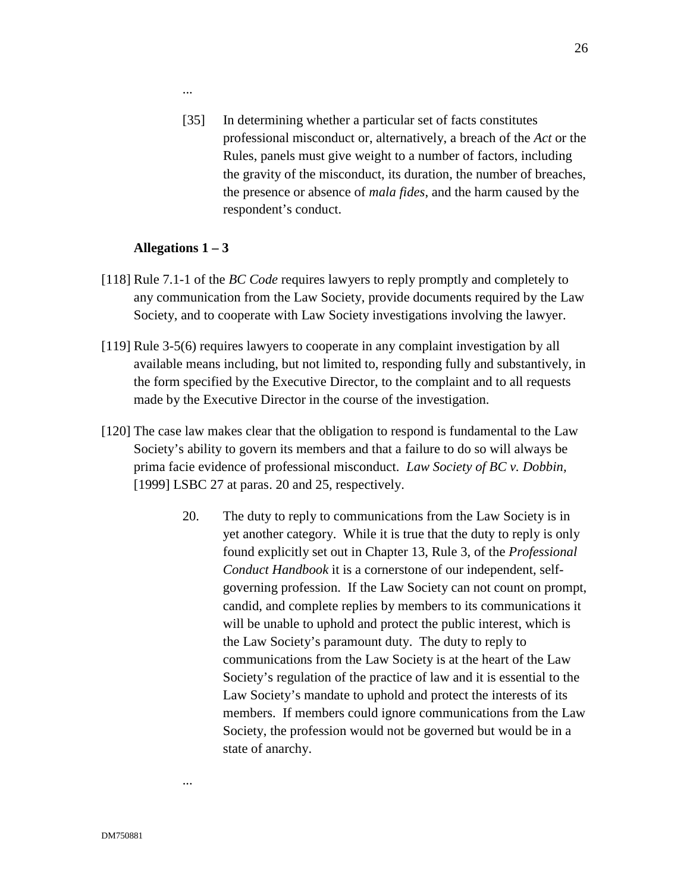...

[35] In determining whether a particular set of facts constitutes professional misconduct or, alternatively, a breach of the *Act* or the Rules, panels must give weight to a number of factors, including the gravity of the misconduct, its duration, the number of breaches, the presence or absence of *mala fides*, and the harm caused by the respondent's conduct.

## **Allegations 1 – 3**

- [118] Rule 7.1-1 of the *BC Code* requires lawyers to reply promptly and completely to any communication from the Law Society, provide documents required by the Law Society, and to cooperate with Law Society investigations involving the lawyer.
- [119] Rule 3-5(6) requires lawyers to cooperate in any complaint investigation by all available means including, but not limited to, responding fully and substantively, in the form specified by the Executive Director, to the complaint and to all requests made by the Executive Director in the course of the investigation.
- [120] The case law makes clear that the obligation to respond is fundamental to the Law Society's ability to govern its members and that a failure to do so will always be prima facie evidence of professional misconduct. *Law Society of BC v. Dobbin,* [1999] LSBC 27 at paras. 20 and 25, respectively.
	- 20. The duty to reply to communications from the Law Society is in yet another category. While it is true that the duty to reply is only found explicitly set out in Chapter 13, Rule 3, of the *Professional Conduct Handbook* it is a cornerstone of our independent, selfgoverning profession. If the Law Society can not count on prompt, candid, and complete replies by members to its communications it will be unable to uphold and protect the public interest, which is the Law Society's paramount duty. The duty to reply to communications from the Law Society is at the heart of the Law Society's regulation of the practice of law and it is essential to the Law Society's mandate to uphold and protect the interests of its members. If members could ignore communications from the Law Society, the profession would not be governed but would be in a state of anarchy.

...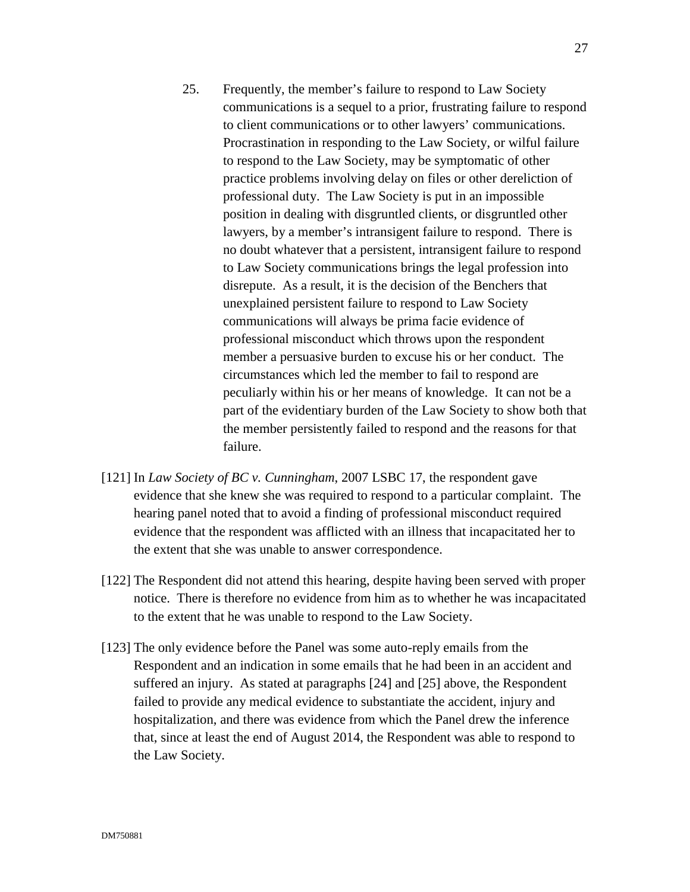- 25. Frequently, the member's failure to respond to Law Society communications is a sequel to a prior, frustrating failure to respond to client communications or to other lawyers' communications. Procrastination in responding to the Law Society, or wilful failure to respond to the Law Society, may be symptomatic of other practice problems involving delay on files or other dereliction of professional duty. The Law Society is put in an impossible position in dealing with disgruntled clients, or disgruntled other lawyers, by a member's intransigent failure to respond. There is no doubt whatever that a persistent, intransigent failure to respond to Law Society communications brings the legal profession into disrepute. As a result, it is the decision of the Benchers that unexplained persistent failure to respond to Law Society communications will always be prima facie evidence of professional misconduct which throws upon the respondent member a persuasive burden to excuse his or her conduct. The circumstances which led the member to fail to respond are peculiarly within his or her means of knowledge. It can not be a part of the evidentiary burden of the Law Society to show both that the member persistently failed to respond and the reasons for that failure.
- [121] In *Law Society of BC v. Cunningham*, 2007 LSBC 17, the respondent gave evidence that she knew she was required to respond to a particular complaint. The hearing panel noted that to avoid a finding of professional misconduct required evidence that the respondent was afflicted with an illness that incapacitated her to the extent that she was unable to answer correspondence.
- [122] The Respondent did not attend this hearing, despite having been served with proper notice. There is therefore no evidence from him as to whether he was incapacitated to the extent that he was unable to respond to the Law Society.
- [123] The only evidence before the Panel was some auto-reply emails from the Respondent and an indication in some emails that he had been in an accident and suffered an injury. As stated at paragraphs [24] and [25] above, the Respondent failed to provide any medical evidence to substantiate the accident, injury and hospitalization, and there was evidence from which the Panel drew the inference that, since at least the end of August 2014, the Respondent was able to respond to the Law Society.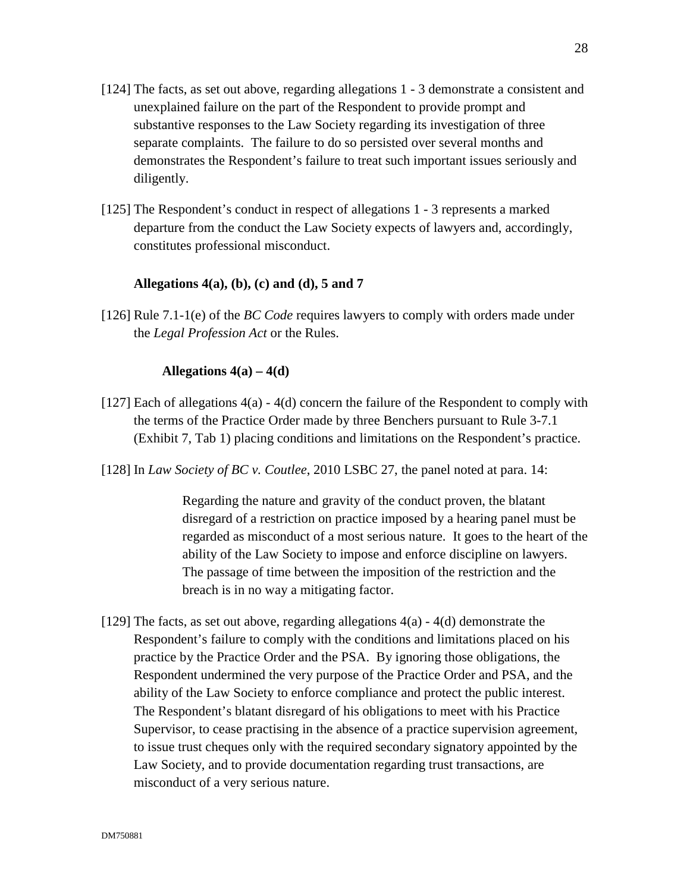- [124] The facts, as set out above, regarding allegations 1 3 demonstrate a consistent and unexplained failure on the part of the Respondent to provide prompt and substantive responses to the Law Society regarding its investigation of three separate complaints. The failure to do so persisted over several months and demonstrates the Respondent's failure to treat such important issues seriously and diligently.
- [125] The Respondent's conduct in respect of allegations 1 3 represents a marked departure from the conduct the Law Society expects of lawyers and, accordingly, constitutes professional misconduct.

### **Allegations 4(a), (b), (c) and (d), 5 and 7**

[126] Rule 7.1-1(e) of the *BC Code* requires lawyers to comply with orders made under the *Legal Profession Act* or the Rules.

### **Allegations 4(a) – 4(d)**

- [127] Each of allegations 4(a) 4(d) concern the failure of the Respondent to comply with the terms of the Practice Order made by three Benchers pursuant to Rule 3-7.1 (Exhibit 7, Tab 1) placing conditions and limitations on the Respondent's practice.
- [128] In *Law Society of BC v. Coutlee*, 2010 LSBC 27, the panel noted at para. 14:

Regarding the nature and gravity of the conduct proven, the blatant disregard of a restriction on practice imposed by a hearing panel must be regarded as misconduct of a most serious nature. It goes to the heart of the ability of the Law Society to impose and enforce discipline on lawyers. The passage of time between the imposition of the restriction and the breach is in no way a mitigating factor.

[129] The facts, as set out above, regarding allegations 4(a) - 4(d) demonstrate the Respondent's failure to comply with the conditions and limitations placed on his practice by the Practice Order and the PSA. By ignoring those obligations, the Respondent undermined the very purpose of the Practice Order and PSA, and the ability of the Law Society to enforce compliance and protect the public interest. The Respondent's blatant disregard of his obligations to meet with his Practice Supervisor, to cease practising in the absence of a practice supervision agreement, to issue trust cheques only with the required secondary signatory appointed by the Law Society, and to provide documentation regarding trust transactions, are misconduct of a very serious nature.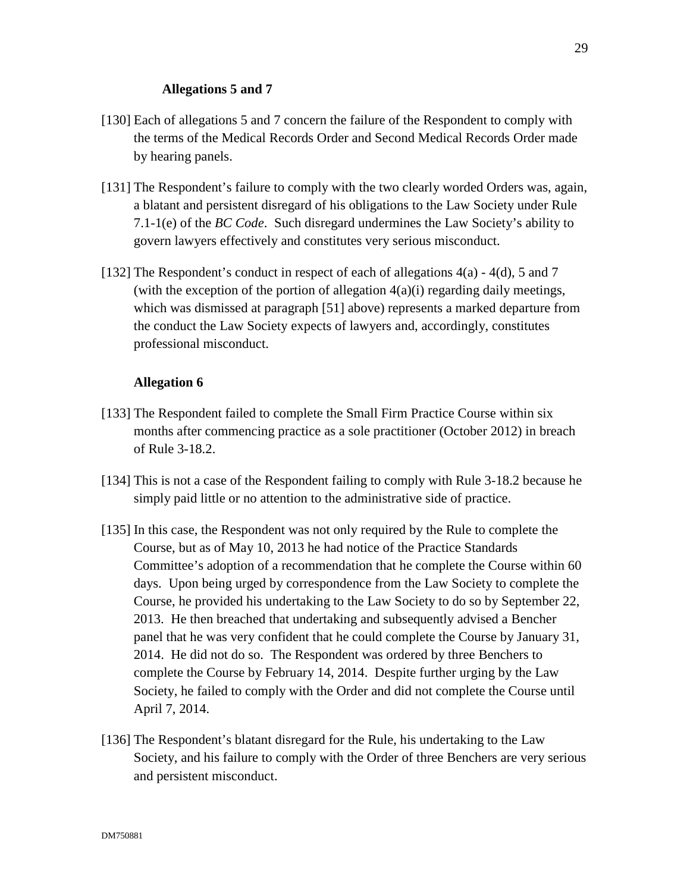## **Allegations 5 and 7**

- [130] Each of allegations 5 and 7 concern the failure of the Respondent to comply with the terms of the Medical Records Order and Second Medical Records Order made by hearing panels.
- [131] The Respondent's failure to comply with the two clearly worded Orders was, again, a blatant and persistent disregard of his obligations to the Law Society under Rule 7.1-1(e) of the *BC Code*. Such disregard undermines the Law Society's ability to govern lawyers effectively and constitutes very serious misconduct.
- [132] The Respondent's conduct in respect of each of allegations  $4(a) 4(d)$ , 5 and 7 (with the exception of the portion of allegation  $4(a)(i)$  regarding daily meetings, which was dismissed at paragraph [51] above) represents a marked departure from the conduct the Law Society expects of lawyers and, accordingly, constitutes professional misconduct.

## **Allegation 6**

- [133] The Respondent failed to complete the Small Firm Practice Course within six months after commencing practice as a sole practitioner (October 2012) in breach of Rule 3-18.2.
- [134] This is not a case of the Respondent failing to comply with Rule 3-18.2 because he simply paid little or no attention to the administrative side of practice.
- [135] In this case, the Respondent was not only required by the Rule to complete the Course, but as of May 10, 2013 he had notice of the Practice Standards Committee's adoption of a recommendation that he complete the Course within 60 days. Upon being urged by correspondence from the Law Society to complete the Course, he provided his undertaking to the Law Society to do so by September 22, 2013. He then breached that undertaking and subsequently advised a Bencher panel that he was very confident that he could complete the Course by January 31, 2014. He did not do so. The Respondent was ordered by three Benchers to complete the Course by February 14, 2014. Despite further urging by the Law Society, he failed to comply with the Order and did not complete the Course until April 7, 2014.
- [136] The Respondent's blatant disregard for the Rule, his undertaking to the Law Society, and his failure to comply with the Order of three Benchers are very serious and persistent misconduct.